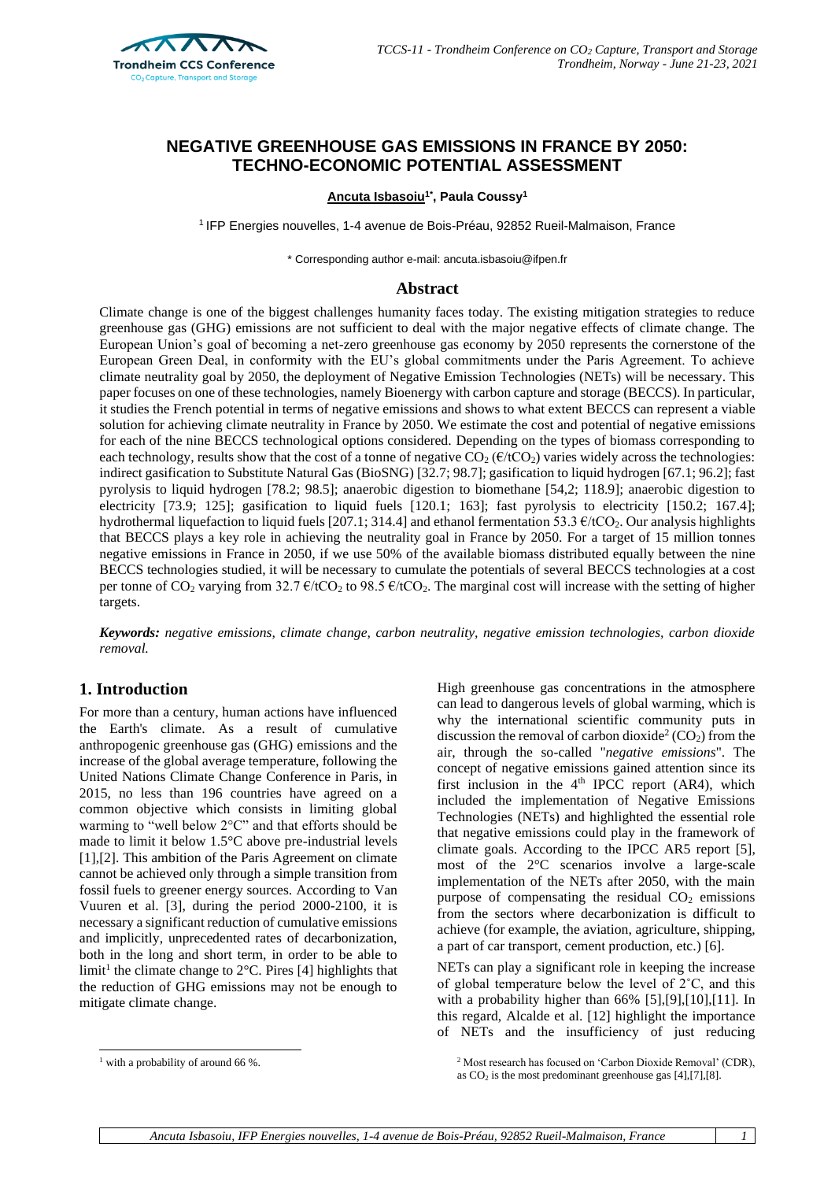

# **NEGATIVE GREENHOUSE GAS EMISSIONS IN FRANCE BY 2050: TECHNO-ECONOMIC POTENTIAL ASSESSMENT**

#### **Ancuta Isbasoiu1\* , Paula Coussy<sup>1</sup>**

<sup>1</sup> IFP Energies nouvelles, 1-4 avenue de Bois-Préau, 92852 Rueil-Malmaison, France

\* Corresponding author e-mail: ancuta.isbasoiu@ifpen.fr

#### **Abstract**

Climate change is one of the biggest challenges humanity faces today. The existing mitigation strategies to reduce greenhouse gas (GHG) emissions are not sufficient to deal with the major negative effects of climate change. The European Union's goal of becoming a net-zero greenhouse gas economy by 2050 represents the cornerstone of the European Green Deal, in conformity with the EU's global commitments under the Paris Agreement. To achieve climate neutrality goal by 2050, the deployment of Negative Emission Technologies (NETs) will be necessary. This paper focuses on one of these technologies, namely Bioenergy with carbon capture and storage (BECCS). In particular, it studies the French potential in terms of negative emissions and shows to what extent BECCS can represent a viable solution for achieving climate neutrality in France by 2050. We estimate the cost and potential of negative emissions for each of the nine BECCS technological options considered. Depending on the types of biomass corresponding to each technology, results show that the cost of a tonne of negative  $CO<sub>2</sub>(\epsilon/tCO<sub>2</sub>)$  varies widely across the technologies: indirect gasification to Substitute Natural Gas (BioSNG) [32.7; 98.7]; gasification to liquid hydrogen [67.1; 96.2]; fast pyrolysis to liquid hydrogen [78.2; 98.5]; anaerobic digestion to biomethane [54,2; 118.9]; anaerobic digestion to electricity [73.9; 125]; gasification to liquid fuels [120.1; 163]; fast pyrolysis to electricity [150.2; 167.4]; hydrothermal liquefaction to liquid fuels [207.1; 314.4] and ethanol fermentation 53.3  $\epsilon$ /tCO<sub>2</sub>. Our analysis highlights that BECCS plays a key role in achieving the neutrality goal in France by 2050. For a target of 15 million tonnes negative emissions in France in 2050, if we use 50% of the available biomass distributed equally between the nine BECCS technologies studied, it will be necessary to cumulate the potentials of several BECCS technologies at a cost per tonne of  $CO_2$  varying from 32.7  $\epsilon$ /tCO<sub>2</sub> to 98.5  $\epsilon$ /tCO<sub>2</sub>. The marginal cost will increase with the setting of higher targets.

*Keywords: negative emissions, climate change, carbon neutrality, negative emission technologies, carbon dioxide removal.*

## **1. Introduction**

For more than a century, human actions have influenced the Earth's climate. As a result of cumulative anthropogenic greenhouse gas (GHG) emissions and the increase of the global average temperature, following the United Nations Climate Change Conference in Paris, in 2015, no less than 196 countries have agreed on a common objective which consists in limiting global warming to "well below 2°C" and that efforts should be made to limit it below 1.5°C above pre-industrial levels [\[1\],](#page-7-0)[\[2\].](#page-7-1) This ambition of the Paris Agreement on climate cannot be achieved only through a simple transition from fossil fuels to greener energy sources. According to Van Vuuren et al. [\[3\],](#page-7-2) during the period 2000-2100, it is necessary a significant reduction of cumulative emissions and implicitly, unprecedented rates of decarbonization, both in the long and short term, in order to be able to limit<sup>1</sup> the climate change to  $2^{\circ}$ C. Pires [\[4\]](#page-7-3) highlights that the reduction of GHG emissions may not be enough to mitigate climate change.

High greenhouse gas concentrations in the atmosphere can lead to dangerous levels of global warming, which is why the international scientific community puts in discussion the removal of carbon dioxide<sup>2</sup> (CO<sub>2</sub>) from the air, through the so-called "*negative emissions*". The concept of negative emissions gained attention since its first inclusion in the  $4<sup>th</sup>$  IPCC report (AR4), which included the implementation of Negative Emissions Technologies (NETs) and highlighted the essential role that negative emissions could play in the framework of climate goals. According to the IPCC AR5 report [\[5\],](#page-7-4) most of the 2°C scenarios involve a large-scale implementation of the NETs after 2050, with the main purpose of compensating the residual  $CO<sub>2</sub>$  emissions from the sectors where decarbonization is difficult to achieve (for example, the aviation, agriculture, shipping, a part of car transport, cement production, etc.) [\[6\].](#page-7-5) 

NETs can play a significant role in keeping the increase of global temperature below the level of 2˚C, and this with a probability higher than 66% [\[5\]](#page-7-4), [9], [10], [11]. In this regard, Alcalde et al. [\[12\]](#page-8-0) highlight the importance of NETs and the insufficiency of just reducing

 $1$  with a probability of around 66 %.

<sup>2</sup> Most research has focused on 'Carbon Dioxide Removal' (CDR), as  $CO<sub>2</sub>$  is the most predominant greenhouse gas [\[4\]](#page-7-3)[,\[7\]](#page-7-9)[,\[8\].](#page-7-10)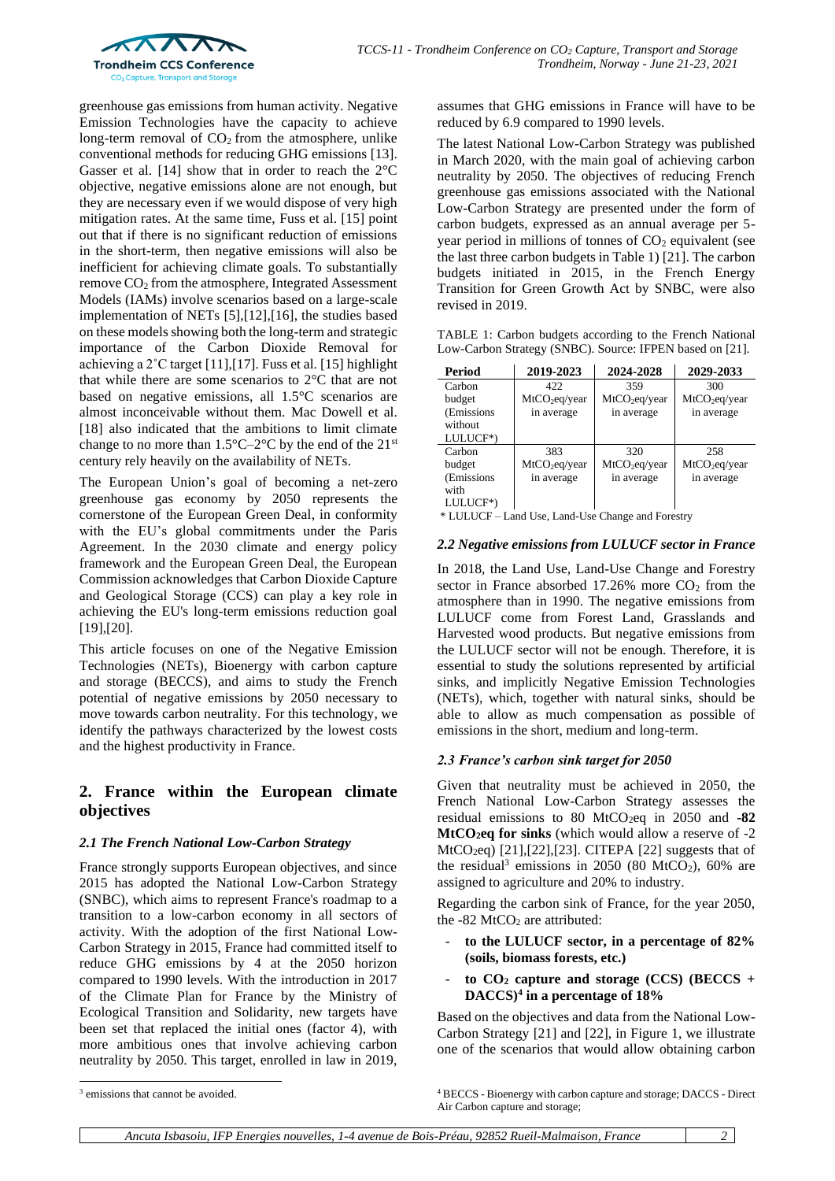

greenhouse gas emissions from human activity. Negative Emission Technologies have the capacity to achieve long-term removal of  $CO<sub>2</sub>$  from the atmosphere, unlike conventional methods for reducing GHG emissions [\[13\].](#page-8-1) Gasser et al. [\[14\]](#page-8-2) show that in order to reach the  $2^{\circ}$ C objective, negative emissions alone are not enough, but they are necessary even if we would dispose of very high mitigation rates. At the same time, Fuss et al. [\[15\]](#page-8-3) point out that if there is no significant reduction of emissions in the short-term, then negative emissions will also be inefficient for achieving climate goals. To substantially remove CO<sup>2</sup> from the atmosphere, Integrated Assessment Models (IAMs) involve scenarios based on a large-scale implementation of NETs [\[5\],](#page-7-4)[\[12\],](#page-8-0)[\[16\],](#page-8-4) the studies based on these models showing both the long-term and strategic importance of the Carbon Dioxide Removal for achieving a 2˚C target [\[11\]](#page-7-8)[,\[17\].](#page-8-5) Fuss et al. [\[15\]](#page-8-3) highlight that while there are some scenarios to 2°C that are not based on negative emissions, all 1.5°C scenarios are almost inconceivable without them. Mac Dowell et al. [\[18\]](#page-8-6) also indicated that the ambitions to limit climate change to no more than  $1.5^{\circ}$ C-2°C by the end of the 21<sup>st</sup> century rely heavily on the availability of NETs.

The European Union's goal of becoming a net-zero greenhouse gas economy by 2050 represents the cornerstone of the European Green Deal, in conformity with the EU's global commitments under the Paris Agreement. In the 2030 climate and energy policy framework and the European Green Deal, the European Commission acknowledges that Carbon Dioxide Capture and Geological Storage (CCS) can play a key role in achieving the EU's long-term emissions reduction goal [\[19\],](#page-8-7)[\[20\].](#page-8-8)

This article focuses on one of the Negative Emission Technologies (NETs), Bioenergy with carbon capture and storage (BECCS), and aims to study the French potential of negative emissions by 2050 necessary to move towards carbon neutrality. For this technology, we identify the pathways characterized by the lowest costs and the highest productivity in France.

# **2. France within the European climate objectives**

#### *2.1 The French National Low-Carbon Strategy*

France strongly supports European objectives, and since 2015 has adopted the National Low-Carbon Strategy (SNBC), which aims to represent France's roadmap to a transition to a low-carbon economy in all sectors of activity. With the adoption of the first National Low-Carbon Strategy in 2015, France had committed itself to reduce GHG emissions by 4 at the 2050 horizon compared to 1990 levels. With the introduction in 2017 of the Climate Plan for France by the Ministry of Ecological Transition and Solidarity, new targets have been set that replaced the initial ones (factor 4), with more ambitious ones that involve achieving carbon neutrality by 2050. This target, enrolled in law in 2019, assumes that GHG emissions in France will have to be reduced by 6.9 compared to 1990 levels.

The latest National Low-Carbon Strategy was published in March 2020, with the main goal of achieving carbon neutrality by 2050. The objectives of reducing French greenhouse gas emissions associated with the National Low-Carbon Strategy are presented under the form of carbon budgets, expressed as an annual average per 5 year period in millions of tonnes of  $CO<sub>2</sub>$  equivalent (see the last three carbon budgets in Table 1) [\[21\].](#page-8-9) The carbon budgets initiated in 2015, in the French Energy Transition for Green Growth Act by SNBC, were also revised in 2019.

TABLE 1: Carbon budgets according to the French National Low-Carbon Strategy (SNBC). Source: IFPEN based on [\[21\].](#page-8-9)

| Period      | 2019-2023                 | 2024-2028                 | 2029-2033                 |
|-------------|---------------------------|---------------------------|---------------------------|
| Carbon      | 422                       | 359                       | 300                       |
| budget      | MtCO <sub>2</sub> eq/year | $MtCO_2$ eq/year          | MtCO <sub>2</sub> eq/year |
| (Emissions) | in average                | in average                | in average                |
| without     |                           |                           |                           |
| LULUCF*)    |                           |                           |                           |
| Carbon      | 383                       | 320                       | 258                       |
| budget      | $MtCO_2$ eq/year          | MtCO <sub>2</sub> eq/year | MtCO <sub>2</sub> eq/year |
| (Emissions  | in average                | in average                | in average                |
| with        |                           |                           |                           |
| LULUCF*)    |                           |                           |                           |

\* LULUCF – Land Use, Land-Use Change and Forestry

### *2.2 Negative emissions from LULUCF sector in France*

In 2018, the Land Use, Land-Use Change and Forestry sector in France absorbed 17.26% more  $CO<sub>2</sub>$  from the atmosphere than in 1990. The negative emissions from LULUCF come from Forest Land, Grasslands and Harvested wood products. But negative emissions from the LULUCF sector will not be enough. Therefore, it is essential to study the solutions represented by artificial sinks, and implicitly Negative Emission Technologies (NETs), which, together with natural sinks, should be able to allow as much compensation as possible of emissions in the short, medium and long-term.

## *2.3 France's carbon sink target for 2050*

Given that neutrality must be achieved in 2050, the French National Low-Carbon Strategy assesses the residual emissions to 80 MtCO2eq in 2050 and **-82 MtCO2eq for sinks** (which would allow a reserve of -2 MtCO<sub>2</sub>eq) [\[21\]](#page-8-9), [22], [\[23\].](#page-8-11) CITEPA [\[22\]](#page-8-10) suggests that of the residual<sup>3</sup> emissions in 2050 (80 MtCO<sub>2</sub>), 60% are assigned to agriculture and 20% to industry.

Regarding the carbon sink of France, for the year 2050, the  $-82$  MtCO<sub>2</sub> are attributed:

- **to the LULUCF sector, in a percentage of 82% (soils, biomass forests, etc.)**
- $\mathbf{t}$  **to**  $\mathbf{C}\mathbf{O}_2$  **capture and storage (CCS) (BECCS + DACCS)<sup>4</sup> in a percentage of 18%**

Based on the objectives and data from the National Low-Carbon Strategy [\[21\]](#page-8-9) and [\[22\],](#page-8-10) in Figure 1, we illustrate one of the scenarios that would allow obtaining carbon

<sup>4</sup> BECCS - Bioenergy with carbon capture and storage; DACCS - Direct Air Carbon capture and storage;

<sup>3</sup> emissions that cannot be avoided.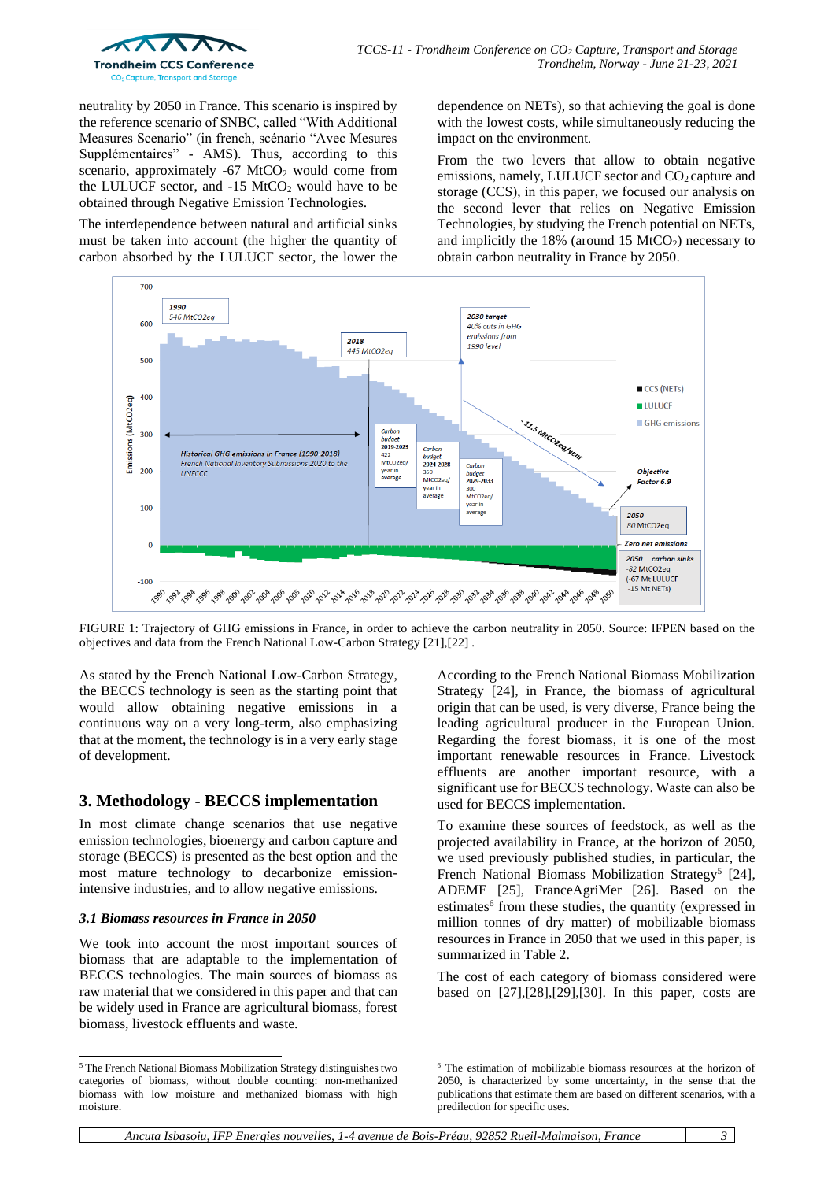

neutrality by 2050 in France. This scenario is inspired by the reference scenario of SNBC, called "With Additional Measures Scenario" (in french, scénario "Avec Mesures Supplémentaires" - AMS). Thus, according to this scenario, approximately  $-67$  MtCO<sub>2</sub> would come from the LULUCF sector, and  $-15$  MtCO<sub>2</sub> would have to be obtained through Negative Emission Technologies.

The interdependence between natural and artificial sinks must be taken into account (the higher the quantity of carbon absorbed by the LULUCF sector, the lower the dependence on NETs), so that achieving the goal is done with the lowest costs, while simultaneously reducing the impact on the environment.

From the two levers that allow to obtain negative emissions, namely, LULUCF sector and CO<sub>2</sub> capture and storage (CCS), in this paper, we focused our analysis on the second lever that relies on Negative Emission Technologies, by studying the French potential on NETs, and implicitly the  $18\%$  (around  $15 \text{ MtCO}_2$ ) necessary to obtain carbon neutrality in France by 2050.



FIGURE 1: Trajectory of GHG emissions in France, in order to achieve the carbon neutrality in 2050. Source: IFPEN based on the objectives and data from the French National Low-Carbon Strategy [\[21\]](#page-8-9)[,\[22\]](#page-8-10) *.*

As stated by the French National Low-Carbon Strategy, the BECCS technology is seen as the starting point that would allow obtaining negative emissions in a continuous way on a very long-term, also emphasizing that at the moment, the technology is in a very early stage of development.

# **3. Methodology - BECCS implementation**

In most climate change scenarios that use negative emission technologies, bioenergy and carbon capture and storage (BECCS) is presented as the best option and the most mature technology to decarbonize emissionintensive industries, and to allow negative emissions.

## *3.1 Biomass resources in France in 2050*

We took into account the most important sources of biomass that are adaptable to the implementation of BECCS technologies. The main sources of biomass as raw material that we considered in this paper and that can be widely used in France are agricultural biomass, forest biomass, livestock effluents and waste.

According to the French National Biomass Mobilization Strategy [\[24\],](#page-8-12) in France, the biomass of agricultural origin that can be used, is very diverse, France being the leading agricultural producer in the European Union. Regarding the forest biomass, it is one of the most important renewable resources in France. Livestock effluents are another important resource, with a significant use for BECCS technology. Waste can also be used for BECCS implementation.

To examine these sources of feedstock, as well as the projected availability in France, at the horizon of 2050, we used previously published studies, in particular, the French National Biomass Mobilization Strategy<sup>5</sup> [\[24\],](#page-8-12) ADEME [\[25\],](#page-8-13) FranceAgriMer [\[26\].](#page-8-14) Based on the estimates<sup>6</sup> from these studies, the quantity (expressed in million tonnes of dry matter) of mobilizable biomass resources in France in 2050 that we used in this paper, is summarized in Table 2.

The cost of each category of biomass considered were based on [\[27\]](#page-8-15)[,\[28\]](#page-8-16)[,\[29\],](#page-8-17)[\[30\].](#page-8-18) In this paper, costs are

<sup>5</sup> The French National Biomass Mobilization Strategy distinguishes two categories of biomass, without double counting: non-methanized biomass with low moisture and methanized biomass with high moisture.

<sup>6</sup> The estimation of mobilizable biomass resources at the horizon of 2050, is characterized by some uncertainty, in the sense that the publications that estimate them are based on different scenarios, with a predilection for specific uses.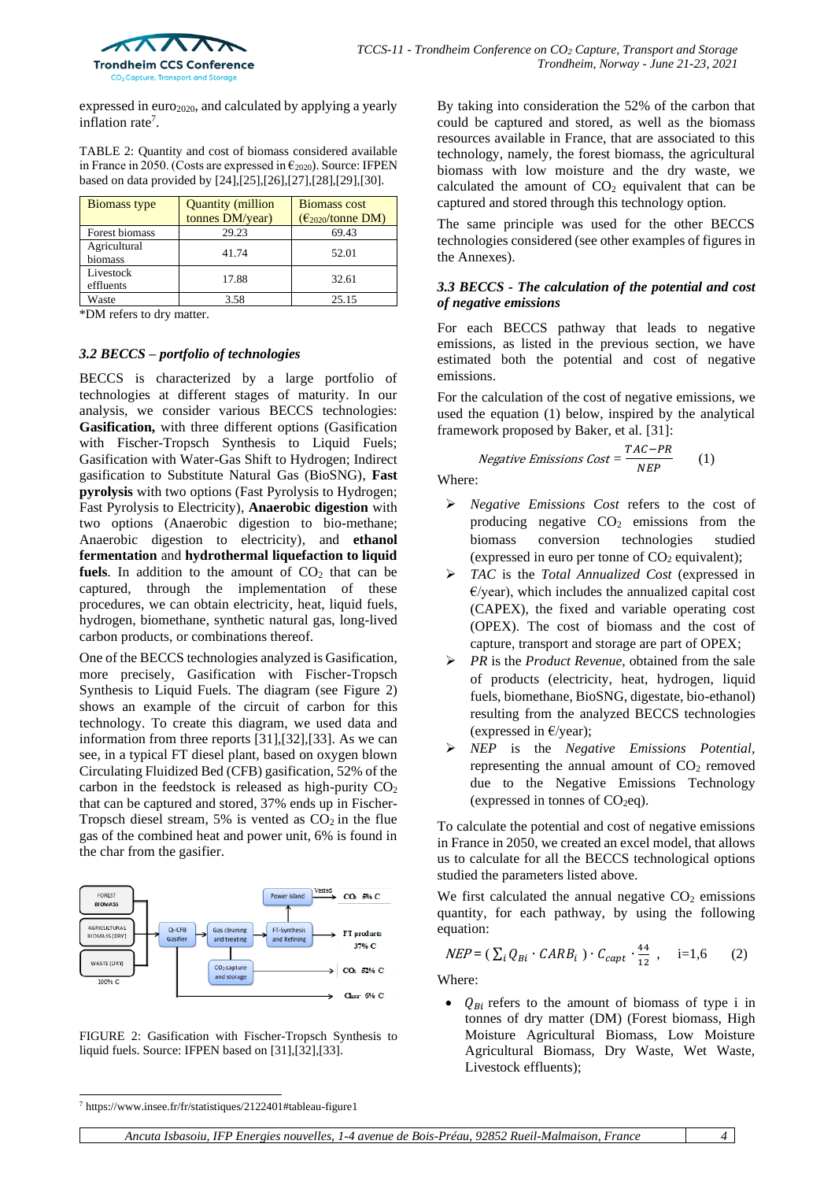

expressed in euro<sub>2020</sub>, and calculated by applying a yearly inflation rate<sup>7</sup>.

TABLE 2: Quantity and cost of biomass considered available in France in 2050. (Costs are expressed in  $\epsilon_{2020}$ ). Source: IFPEN based on data provided b[y \[24\],](#page-8-12)[\[25\],](#page-8-13)[\[26\]](#page-8-14)[,\[27\]](#page-8-15)[,\[28\],](#page-8-16)[\[29\],](#page-8-17)[\[30\].](#page-8-18)

| <b>Biomass type</b>     | <b>Quantity (million</b><br>tonnes DM/year) | <b>Biomass cost</b><br>$(\epsilon_{2020}/\text{tonne DM})$ |
|-------------------------|---------------------------------------------|------------------------------------------------------------|
| Forest biomass          | 29.23                                       | 69.43                                                      |
| Agricultural<br>biomass | 41.74                                       | 52.01                                                      |
| Livestock<br>effluents  | 17.88                                       | 32.61                                                      |
| Waste                   | 3.58                                        | 25.15                                                      |

\*DM refers to dry matter.

#### *3.2 BECCS – portfolio of technologies*

BECCS is characterized by a large portfolio of technologies at different stages of maturity. In our analysis, we consider various BECCS technologies: **Gasification,** with three different options (Gasification with Fischer-Tropsch Synthesis to Liquid Fuels; Gasification with Water-Gas Shift to Hydrogen; Indirect gasification to Substitute Natural Gas (BioSNG), **Fast pyrolysis** with two options (Fast Pyrolysis to Hydrogen; Fast Pyrolysis to Electricity), **Anaerobic digestion** with two options (Anaerobic digestion to bio-methane; Anaerobic digestion to electricity), and **ethanol fermentation** and **hydrothermal liquefaction to liquid fuels**. In addition to the amount of  $CO<sub>2</sub>$  that can be captured, through the implementation of these procedures, we can obtain electricity, heat, liquid fuels, hydrogen, biomethane, synthetic natural gas, long-lived carbon products, or combinations thereof.

One of the BECCS technologies analyzed is Gasification, more precisely, Gasification with Fischer-Tropsch Synthesis to Liquid Fuels. The diagram (see Figure 2) shows an example of the circuit of carbon for this technology. To create this diagram, we used data and information from three reports [\[31\]](#page-8-19)[,\[32\],](#page-8-20)[\[33\].](#page-8-21) As we can see, in a typical FT diesel plant, based on oxygen blown Circulating Fluidized Bed (CFB) gasification, 52% of the carbon in the feedstock is released as high-purity  $CO<sub>2</sub>$ that can be captured and stored, 37% ends up in Fischer-Tropsch diesel stream, 5% is vented as  $CO<sub>2</sub>$  in the flue gas of the combined heat and power unit, 6% is found in the char from the gasifier.



FIGURE 2: Gasification with Fischer-Tropsch Synthesis to liquid fuels. Source: IFPEN based on [\[31\]](#page-8-19)[,\[32\]](#page-8-20)[,\[33\].](#page-8-21)

By taking into consideration the 52% of the carbon that could be captured and stored, as well as the biomass resources available in France, that are associated to this technology, namely, the forest biomass, the agricultural biomass with low moisture and the dry waste, we calculated the amount of  $CO<sub>2</sub>$  equivalent that can be captured and stored through this technology option.

The same principle was used for the other BECCS technologies considered (see other examples of figures in the Annexes).

#### *3.3 BECCS - The calculation of the potential and cost of negative emissions*

For each BECCS pathway that leads to negative emissions, as listed in the previous section, we have estimated both the potential and cost of negative emissions.

For the calculation of the cost of negative emissions, we used the equation (1) below, inspired by the analytical framework proposed by Baker, et al. [\[31\]:](#page-8-19)

Negative Emissions Cost = 
$$
\frac{TAC - PR}{NEP}
$$
 (1)

Where:

- ➢ *Negative Emissions Cost* refers to the cost of producing negative  $CO<sub>2</sub>$  emissions from the biomass conversion technologies studied (expressed in euro per tonne of  $CO<sub>2</sub>$  equivalent);
- ➢ *TAC* is the *Total Annualized Cost* (expressed in  $E$ /year), which includes the annualized capital cost (CAPEX), the fixed and variable operating cost (OPEX). The cost of biomass and the cost of capture, transport and storage are part of OPEX;
- ➢ *PR* is the *Product Revenue,* obtained from the sale of products (electricity, heat, hydrogen, liquid fuels, biomethane, BioSNG, digestate, bio-ethanol) resulting from the analyzed BECCS technologies (expressed in  $E$ /year);
- ➢ *NEP* is the *Negative Emissions Potential,*  representing the annual amount of  $CO<sub>2</sub>$  removed due to the Negative Emissions Technology (expressed in tonnes of  $CO<sub>2</sub>eq$ ).

To calculate the potential and cost of negative emissions in France in 2050, we created an excel model, that allows us to calculate for all the BECCS technological options studied the parameters listed above.

We first calculated the annual negative  $CO<sub>2</sub>$  emissions quantity, for each pathway, by using the following equation:

$$
NEP = (\sum_{i} Q_{Bi} \cdot CARB_i) \cdot C_{capt} \cdot \frac{44}{12}, \quad i=1,6 \tag{2}
$$

Where:

 $Q_{Bi}$  refers to the amount of biomass of type i in tonnes of dry matter (DM) (Forest biomass, High Moisture Agricultural Biomass, Low Moisture Agricultural Biomass, Dry Waste, Wet Waste, Livestock effluents);

 $7$  https://www.insee.fr/fr/statistiques/2122401#tableau-figure1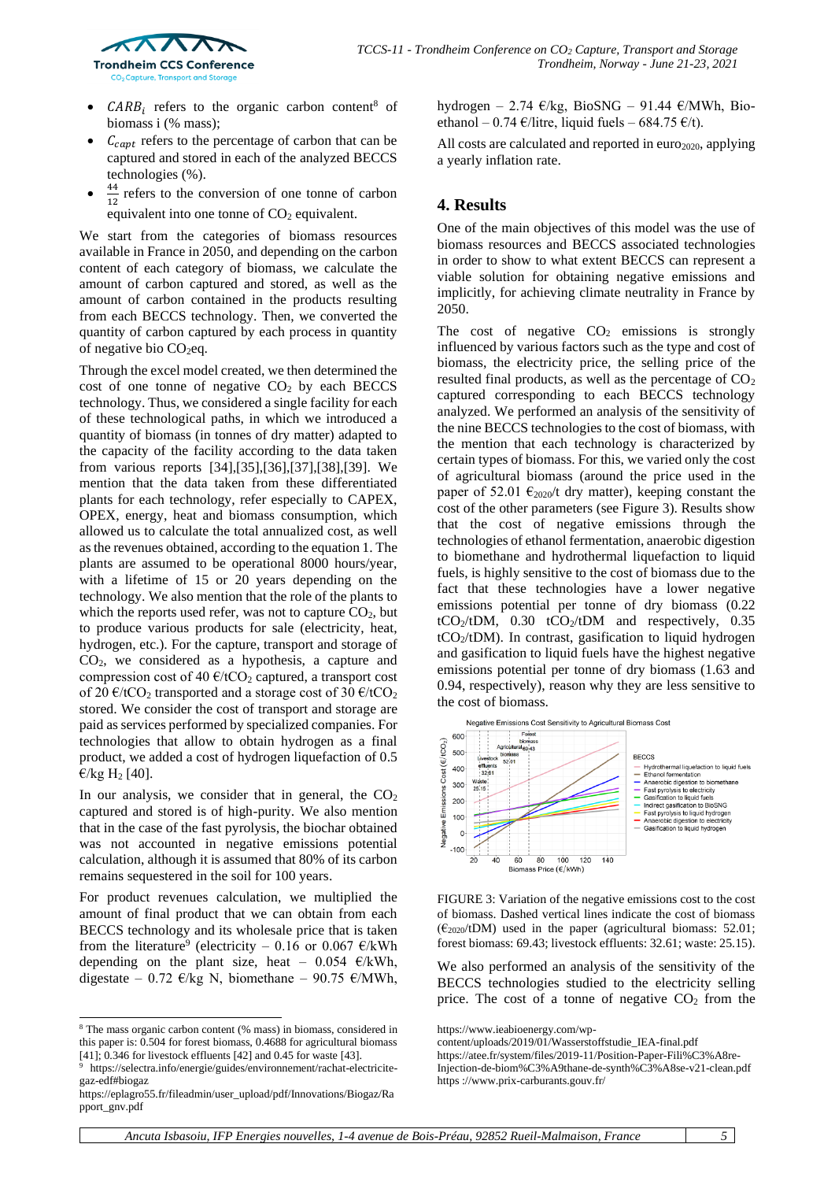

- *CARB*<sub>i</sub> refers to the organic carbon content<sup>8</sup> of biomass i (% mass);
- $C_{capt}$  refers to the percentage of carbon that can be captured and stored in each of the analyzed BECCS technologies (%).
- 44  $\frac{47}{12}$  refers to the conversion of one tonne of carbon equivalent into one tonne of  $CO<sub>2</sub>$  equivalent.

We start from the categories of biomass resources available in France in 2050, and depending on the carbon content of each category of biomass, we calculate the amount of carbon captured and stored, as well as the amount of carbon contained in the products resulting from each BECCS technology. Then, we converted the quantity of carbon captured by each process in quantity of negative bio  $CO<sub>2</sub>$ eq.

Through the excel model created, we then determined the cost of one tonne of negative  $CO<sub>2</sub>$  by each BECCS technology. Thus, we considered a single facility for each of these technological paths, in which we introduced a quantity of biomass (in tonnes of dry matter) adapted to the capacity of the facility according to the data taken from various reports [\[34\]](#page-8-22)[,\[35\]](#page-8-23)[,\[36\],](#page-8-24)[\[37\],](#page-8-25)[\[38\],](#page-8-26)[\[39\].](#page-8-27) We mention that the data taken from these differentiated plants for each technology, refer especially to CAPEX, OPEX, energy, heat and biomass consumption, which allowed us to calculate the total annualized cost, as well as the revenues obtained, according to the equation 1. The plants are assumed to be operational 8000 hours/year, with a lifetime of 15 or 20 years depending on the technology. We also mention that the role of the plants to which the reports used refer, was not to capture  $CO<sub>2</sub>$ , but to produce various products for sale (electricity, heat, hydrogen, etc.). For the capture, transport and storage of CO2, we considered as a hypothesis, a capture and compression cost of 40  $\epsilon$ /tCO<sub>2</sub> captured, a transport cost of 20  $\epsilon$ /tCO<sub>2</sub> transported and a storage cost of 30  $\epsilon$ /tCO<sub>2</sub> stored. We consider the cost of transport and storage are paid as services performed by specialized companies. For technologies that allow to obtain hydrogen as a final product, we added a cost of hydrogen liquefaction of 0.5  $\epsilon$ /kg H<sub>2</sub> [\[40\].](#page-8-28)

In our analysis, we consider that in general, the  $CO<sub>2</sub>$ captured and stored is of high-purity. We also mention that in the case of the fast pyrolysis, the biochar obtained was not accounted in negative emissions potential calculation, although it is assumed that 80% of its carbon remains sequestered in the soil for 100 years.

For product revenues calculation, we multiplied the amount of final product that we can obtain from each BECCS technology and its wholesale price that is taken from the literature<sup>9</sup> (electricity – 0.16 or 0.067  $\epsilon$ /kWh depending on the plant size, heat – 0.054  $\epsilon$ /kWh, digestate – 0.72 €/kg N, biomethane – 90.75 €/MWh,

hydrogen – 2.74 €/kg, BioSNG – 91.44 €/MWh, Bioethanol – 0.74 €/litre, liquid fuels – 684.75 €/t).

All costs are calculated and reported in  $euro<sub>2020</sub>$ , applying a yearly inflation rate.

# **4. Results**

One of the main objectives of this model was the use of biomass resources and BECCS associated technologies in order to show to what extent BECCS can represent a viable solution for obtaining negative emissions and implicitly, for achieving climate neutrality in France by 2050.

The cost of negative  $CO<sub>2</sub>$  emissions is strongly influenced by various factors such as the type and cost of biomass, the electricity price, the selling price of the resulted final products, as well as the percentage of  $CO<sub>2</sub>$ captured corresponding to each BECCS technology analyzed. We performed an analysis of the sensitivity of the nine BECCS technologies to the cost of biomass, with the mention that each technology is characterized by certain types of biomass. For this, we varied only the cost of agricultural biomass (around the price used in the paper of 52.01  $\epsilon_{2020}$ /t dry matter), keeping constant the cost of the other parameters (see Figure 3). Results show that the cost of negative emissions through the technologies of ethanol fermentation, anaerobic digestion to biomethane and hydrothermal liquefaction to liquid fuels, is highly sensitive to the cost of biomass due to the fact that these technologies have a lower negative emissions potential per tonne of dry biomass (0.22  $tCO<sub>2</sub>/tDM$ , 0.30  $tCO<sub>2</sub>/tDM$  and respectively, 0.35 tCO2/tDM). In contrast, gasification to liquid hydrogen and gasification to liquid fuels have the highest negative emissions potential per tonne of dry biomass (1.63 and 0.94, respectively), reason why they are less sensitive to the cost of biomass.



FIGURE 3: Variation of the negative emissions cost to the cost of biomass. Dashed vertical lines indicate the cost of biomass  $(\epsilon_{2020}/tDM)$  used in the paper (agricultural biomass: 52.01; forest biomass: 69.43; livestock effluents: 32.61; waste: 25.15).

We also performed an analysis of the sensitivity of the BECCS technologies studied to the electricity selling price. The cost of a tonne of negative  $CO<sub>2</sub>$  from the

<sup>8</sup> The mass organic carbon content (% mass) in biomass, considered in this paper is: 0.504 for forest biomass, 0.4688 for agricultural biomass [\[41\];](#page-8-29) 0.346 for livestock effluents [\[42\]](#page-8-30) and 0.45 for waste [\[43\].](#page-8-31)

https://selectra.info/energie/guides/environnement/rachat-electricitegaz-edf#biogaz

https://eplagro55.fr/fileadmin/user\_upload/pdf/Innovations/Biogaz/Ra pport\_gnv.pdf

https://www.ieabioenergy.com/wp-

content/uploads/2019/01/Wasserstoffstudie\_IEA-final.pdf

https://atee.fr/system/files/2019-11/Position-Paper-Fili%C3%A8re-Injection-de-biom%C3%A9thane-de-synth%C3%A8se-v21-clean.pdf https ://www.prix-carburants.gouv.fr/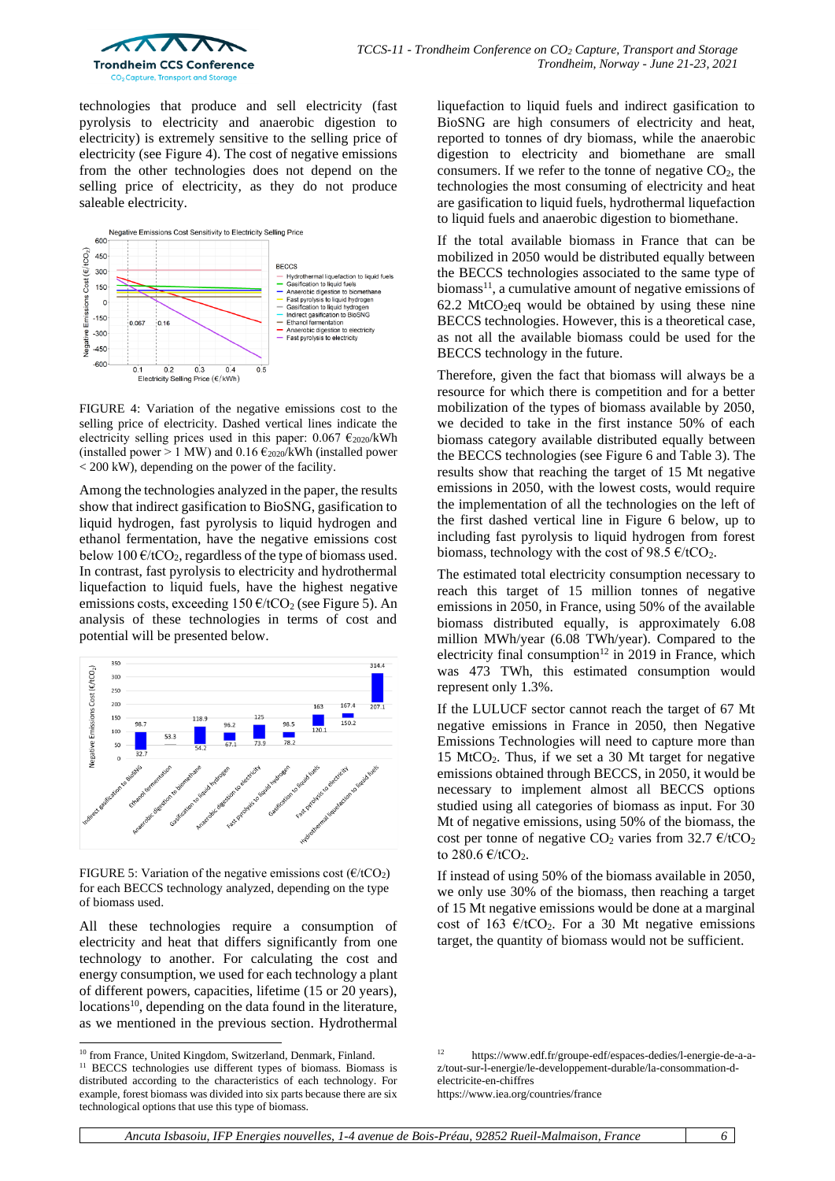

technologies that produce and sell electricity (fast pyrolysis to electricity and anaerobic digestion to electricity) is extremely sensitive to the selling price of electricity (see Figure 4). The cost of negative emissions from the other technologies does not depend on the selling price of electricity, as they do not produce saleable electricity.



FIGURE 4: Variation of the negative emissions cost to the selling price of electricity. Dashed vertical lines indicate the electricity selling prices used in this paper:  $0.067 \epsilon_{2020}$ /kWh (installed power > 1 MW) and 0.16  $\epsilon_{2020}$ /kWh (installed power < 200 kW), depending on the power of the facility.

Among the technologies analyzed in the paper, the results show that indirect gasification to BioSNG, gasification to liquid hydrogen, fast pyrolysis to liquid hydrogen and ethanol fermentation, have the negative emissions cost below 100  $\epsilon$ /tCO<sub>2</sub>, regardless of the type of biomass used. In contrast, fast pyrolysis to electricity and hydrothermal liquefaction to liquid fuels, have the highest negative emissions costs, exceeding  $150 \text{ E/tCO}_2$  (see Figure 5). An analysis of these technologies in terms of cost and potential will be presented below.



FIGURE 5: Variation of the negative emissions cost ( $\epsilon$ /tCO<sub>2</sub>) for each BECCS technology analyzed, depending on the type of biomass used.

All these technologies require a consumption of electricity and heat that differs significantly from one technology to another. For calculating the cost and energy consumption, we used for each technology a plant of different powers, capacities, lifetime (15 or 20 years),  $locations<sup>10</sup>$ , depending on the data found in the literature, as we mentioned in the previous section. Hydrothermal liquefaction to liquid fuels and indirect gasification to BioSNG are high consumers of electricity and heat, reported to tonnes of dry biomass, while the anaerobic digestion to electricity and biomethane are small consumers. If we refer to the tonne of negative  $CO<sub>2</sub>$ , the technologies the most consuming of electricity and heat are gasification to liquid fuels, hydrothermal liquefaction to liquid fuels and anaerobic digestion to biomethane.

If the total available biomass in France that can be mobilized in 2050 would be distributed equally between the BECCS technologies associated to the same type of biomass $^{11}$ , a cumulative amount of negative emissions of  $62.2$  MtCO<sub>2</sub>eq would be obtained by using these nine BECCS technologies. However, this is a theoretical case, as not all the available biomass could be used for the BECCS technology in the future.

Therefore, given the fact that biomass will always be a resource for which there is competition and for a better mobilization of the types of biomass available by 2050, we decided to take in the first instance 50% of each biomass category available distributed equally between the BECCS technologies (see Figure 6 and Table 3). The results show that reaching the target of 15 Mt negative emissions in 2050, with the lowest costs, would require the implementation of all the technologies on the left of the first dashed vertical line in Figure 6 below, up to including fast pyrolysis to liquid hydrogen from forest biomass, technology with the cost of 98.5  $\epsilon$ /tCO<sub>2</sub>.

The estimated total electricity consumption necessary to reach this target of 15 million tonnes of negative emissions in 2050, in France, using 50% of the available biomass distributed equally, is approximately 6.08 million MWh/year (6.08 TWh/year). Compared to the electricity final consumption<sup>12</sup> in 2019 in France, which was 473 TWh, this estimated consumption would represent only 1.3%.

If the LULUCF sector cannot reach the target of 67 Mt negative emissions in France in 2050, then Negative Emissions Technologies will need to capture more than 15 MtCO2. Thus, if we set a 30 Mt target for negative emissions obtained through BECCS, in 2050, it would be necessary to implement almost all BECCS options studied using all categories of biomass as input. For 30 Mt of negative emissions, using 50% of the biomass, the cost per tonne of negative CO<sub>2</sub> varies from 32.7  $\epsilon$ /tCO<sub>2</sub> to  $280.6 \text{ E/kCO}_2$ .

If instead of using 50% of the biomass available in 2050, we only use 30% of the biomass, then reaching a target of 15 Mt negative emissions would be done at a marginal cost of 163  $\epsilon$ /tCO<sub>2</sub>. For a 30 Mt negative emissions target, the quantity of biomass would not be sufficient.

<sup>&</sup>lt;sup>10</sup> from France, United Kingdom, Switzerland, Denmark, Finland.

<sup>&</sup>lt;sup>11</sup> BECCS technologies use different types of biomass. Biomass is distributed according to the characteristics of each technology. For example, forest biomass was divided into six parts because there are six technological options that use this type of biomass.

<sup>12</sup> [https://www.edf.fr/groupe-edf/espaces-dedies/l-energie-de-a-a](https://www.edf.fr/groupe-edf/espaces-dedies/l-energie-de-a-a-z/tout-sur-l-energie/le-developpement-durable/la-consommation-d-electricite-en-chiffres)[z/tout-sur-l-energie/le-developpement-durable/la-consommation-d](https://www.edf.fr/groupe-edf/espaces-dedies/l-energie-de-a-a-z/tout-sur-l-energie/le-developpement-durable/la-consommation-d-electricite-en-chiffres)[electricite-en-chiffres](https://www.edf.fr/groupe-edf/espaces-dedies/l-energie-de-a-a-z/tout-sur-l-energie/le-developpement-durable/la-consommation-d-electricite-en-chiffres) <https://www.iea.org/countries/france>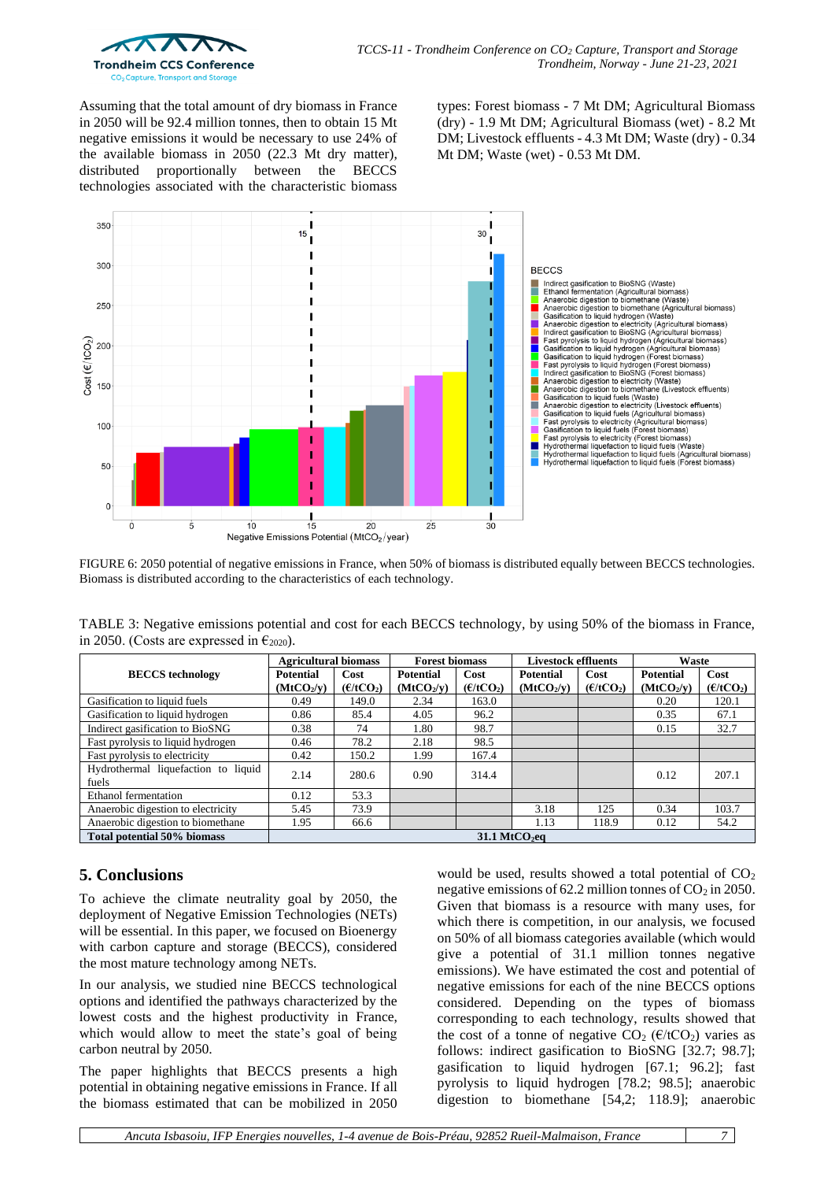

Assuming that the total amount of dry biomass in France in 2050 will be 92.4 million tonnes, then to obtain 15 Mt negative emissions it would be necessary to use 24% of the available biomass in 2050 (22.3 Mt dry matter), distributed proportionally between the BECCS technologies associated with the characteristic biomass

types: Forest biomass - 7 Mt DM; Agricultural Biomass (dry) - 1.9 Mt DM; Agricultural Biomass (wet) - 8.2 Mt DM; Livestock effluents - 4.3 Mt DM; Waste (dry) - 0.34 Mt DM; Waste (wet) - 0.53 Mt DM.



FIGURE 6: 2050 potential of negative emissions in France, when 50% of biomass is distributed equally between BECCS technologies. Biomass is distributed according to the characteristics of each technology.

TABLE 3: Negative emissions potential and cost for each BECCS technology, by using 50% of the biomass in France, in 2050. (Costs are expressed in  $\epsilon_{2020}$ ).

|                                              | <b>Agricultural biomass</b> |                       | <b>Forest biomass</b>  |                       | <b>Livestock effluents</b> |                       | Waste                  |                       |
|----------------------------------------------|-----------------------------|-----------------------|------------------------|-----------------------|----------------------------|-----------------------|------------------------|-----------------------|
| <b>BECCS</b> technology                      | <b>Potential</b>            | Cost                  | <b>Potential</b>       | Cost                  | <b>Potential</b>           | Cost                  | <b>Potential</b>       | Cost                  |
|                                              | (MtCO <sub>2</sub> /v)      | (E/tCO <sub>2</sub> ) | (MtCO <sub>2</sub> /v) | (E/tCO <sub>2</sub> ) | (MtCO <sub>2</sub> /v)     | (E/tCO <sub>2</sub> ) | (MtCO <sub>2</sub> /v) | (E/tCO <sub>2</sub> ) |
| Gasification to liquid fuels                 | 0.49                        | 149.0                 | 2.34                   | 163.0                 |                            |                       | 0.20                   | 120.1                 |
| Gasification to liquid hydrogen              | 0.86                        | 85.4                  | 4.05                   | 96.2                  |                            |                       | 0.35                   | 67.1                  |
| Indirect gasification to BioSNG              | 0.38                        | 74                    | 1.80                   | 98.7                  |                            |                       | 0.15                   | 32.7                  |
| Fast pyrolysis to liquid hydrogen            | 0.46                        | 78.2                  | 2.18                   | 98.5                  |                            |                       |                        |                       |
| Fast pyrolysis to electricity                | 0.42                        | 150.2                 | 1.99                   | 167.4                 |                            |                       |                        |                       |
| Hydrothermal liquefaction to liquid<br>fuels | 2.14                        | 280.6                 | 0.90                   | 314.4                 |                            |                       | 0.12                   | 207.1                 |
| <b>Ethanol</b> fermentation                  | 0.12                        | 53.3                  |                        |                       |                            |                       |                        |                       |
| Anaerobic digestion to electricity           | 5.45                        | 73.9                  |                        |                       | 3.18                       | 125                   | 0.34                   | 103.7                 |
| Anaerobic digestion to biomethane            | 1.95                        | 66.6                  |                        |                       | 1.13                       | 118.9                 | 0.12                   | 54.2                  |
| Total potential 50% biomass                  | 31.1 MtCO <sub>2</sub> eq   |                       |                        |                       |                            |                       |                        |                       |

# **5. Conclusions**

To achieve the climate neutrality goal by 2050, the deployment of Negative Emission Technologies (NETs) will be essential. In this paper, we focused on Bioenergy with carbon capture and storage (BECCS), considered the most mature technology among NETs.

In our analysis, we studied nine BECCS technological options and identified the pathways characterized by the lowest costs and the highest productivity in France, which would allow to meet the state's goal of being carbon neutral by 2050.

The paper highlights that BECCS presents a high potential in obtaining negative emissions in France. If all the biomass estimated that can be mobilized in 2050

would be used, results showed a total potential of  $CO<sub>2</sub>$ negative emissions of 62.2 million tonnes of  $CO<sub>2</sub>$  in 2050. Given that biomass is a resource with many uses, for which there is competition, in our analysis, we focused on 50% of all biomass categories available (which would give a potential of 31.1 million tonnes negative emissions). We have estimated the cost and potential of negative emissions for each of the nine BECCS options considered. Depending on the types of biomass corresponding to each technology, results showed that the cost of a tonne of negative  $CO_2$  ( $E/tCO_2$ ) varies as follows: indirect gasification to BioSNG [32.7; 98.7]; gasification to liquid hydrogen [67.1; 96.2]; fast pyrolysis to liquid hydrogen [78.2; 98.5]; anaerobic digestion to biomethane [54,2; 118.9]; anaerobic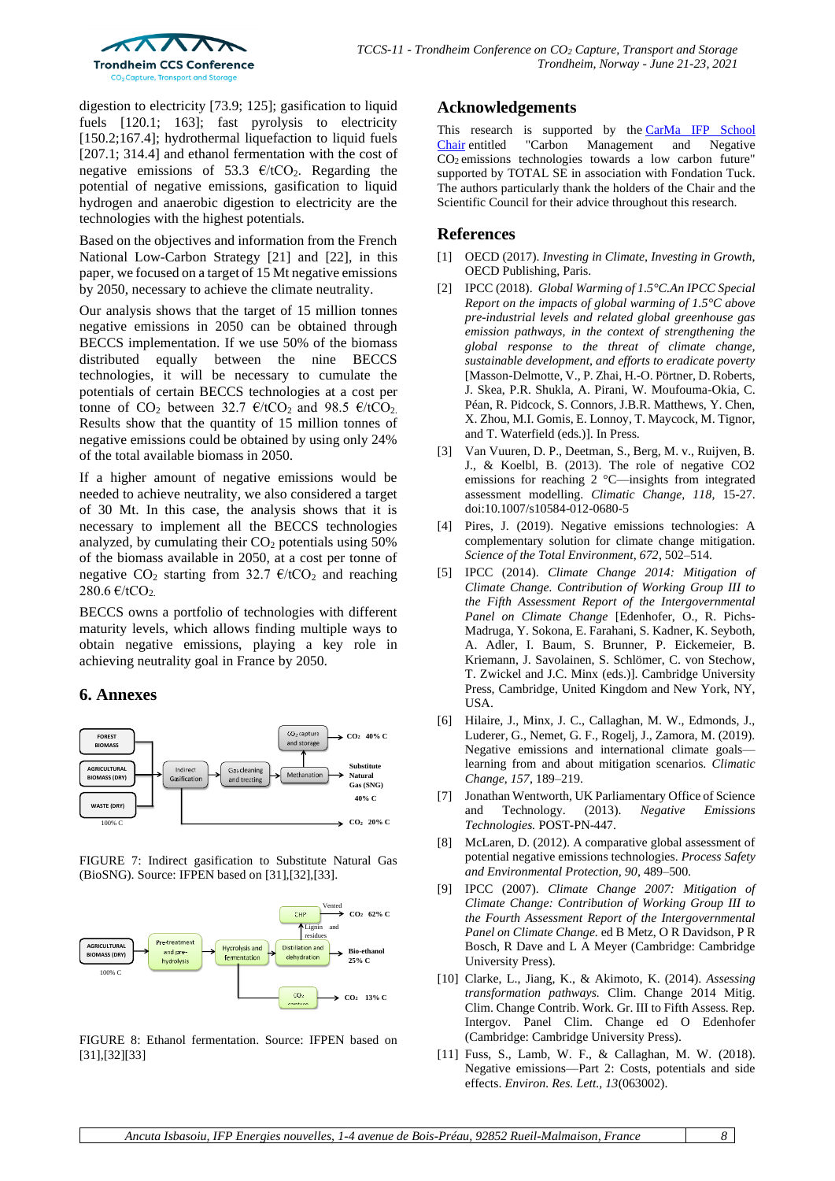

digestion to electricity [73.9; 125]; gasification to liquid fuels [120.1; 163]; fast pyrolysis to electricity [150.2;167.4]; hydrothermal liquefaction to liquid fuels [207.1; 314.4] and ethanol fermentation with the cost of negative emissions of 53.3  $\epsilon$ /tCO<sub>2</sub>. Regarding the potential of negative emissions, gasification to liquid hydrogen and anaerobic digestion to electricity are the technologies with the highest potentials.

Based on the objectives and information from the French National Low-Carbon Strategy [\[21\]](#page-8-9) and [\[22\],](#page-8-10) in this paper, we focused on a target of 15 Mt negative emissions by 2050, necessary to achieve the climate neutrality.

Our analysis shows that the target of 15 million tonnes negative emissions in 2050 can be obtained through BECCS implementation. If we use 50% of the biomass distributed equally between the nine BECCS technologies, it will be necessary to cumulate the potentials of certain BECCS technologies at a cost per tonne of  $CO_2$  between 32.7  $\epsilon$ /tCO<sub>2</sub> and 98.5  $\epsilon$ /tCO<sub>2</sub>. Results show that the quantity of 15 million tonnes of negative emissions could be obtained by using only 24% of the total available biomass in 2050.

If a higher amount of negative emissions would be needed to achieve neutrality, we also considered a target of 30 Mt. In this case, the analysis shows that it is necessary to implement all the BECCS technologies analyzed, by cumulating their  $CO<sub>2</sub>$  potentials using 50% of the biomass available in 2050, at a cost per tonne of negative CO<sub>2</sub> starting from 32.7  $\epsilon$ /tCO<sub>2</sub> and reaching 280.6  $\epsilon$ /tCO<sub>2</sub>.

BECCS owns a portfolio of technologies with different maturity levels, which allows finding multiple ways to obtain negative emissions, playing a key role in achieving neutrality goal in France by 2050.

#### **6. Annexes**



FIGURE 7: Indirect gasification to Substitute Natural Gas (BioSNG). Source: IFPEN based on [\[31\]](#page-8-19)[,\[32\],](#page-8-20)[\[33\].](#page-8-21)



FIGURE 8: Ethanol fermentation. Source: IFPEN based on [\[31\],](#page-8-19)[\[32\]](#page-8-20)[\[33\]](#page-8-21)

## **Acknowledgements**

This research is supported by the [CarMa IFP School](https://www.carma-chair.com/) Chair entitled "Carbon Management and Negative Management and Negative CO<sup>2</sup> emissions technologies towards a low carbon future" supported by TOTAL SE in association with Fondation Tuck. The authors particularly thank the holders of the Chair and the Scientific Council for their advice throughout this research.

## **References**

- <span id="page-7-0"></span>[1] OECD (2017). *Investing in Climate, Investing in Growth*, OECD Publishing, Paris.
- <span id="page-7-1"></span>[2] IPCC (2018). *Global Warming of 1.5°C.An IPCC Special Report on the impacts of global warming of 1.5°C above pre-industrial levels and related global greenhouse gas emission pathways, in the context of strengthening the global response to the threat of climate change, sustainable development, and efforts to eradicate poverty*  [Masson-Delmotte, V., P. Zhai, H.-O. Pörtner, D. Roberts, J. Skea, P.R. Shukla, A. Pirani, W. Moufouma-Okia, C. Péan, R. Pidcock, S. Connors, J.B.R. Matthews, Y. Chen, X. Zhou, M.I. Gomis, E. Lonnoy, T. Maycock, M. Tignor, and T. Waterfield (eds.)]. In Press.
- <span id="page-7-2"></span>[3] Van Vuuren, D. P., Deetman, S., Berg, M. v., Ruijven, B. J., & Koelbl, B. (2013). The role of negative CO2 emissions for reaching 2 °C—insights from integrated assessment modelling. *Climatic Change, 118*, 15-27. doi:10.1007/s10584-012-0680-5
- <span id="page-7-3"></span>[4] Pires, J. (2019). Negative emissions technologies: A complementary solution for climate change mitigation. *Science of the Total Environment, 672*, 502–514.
- <span id="page-7-4"></span>[5] IPCC (2014). *Climate Change 2014: Mitigation of Climate Change. Contribution of Working Group III to the Fifth Assessment Report of the Intergovernmental Panel on Climate Change* [Edenhofer, O., R. Pichs-Madruga, Y. Sokona, E. Farahani, S. Kadner, K. Seyboth, A. Adler, I. Baum, S. Brunner, P. Eickemeier, B. Kriemann, J. Savolainen, S. Schlömer, C. von Stechow, T. Zwickel and J.C. Minx (eds.)]. Cambridge University Press, Cambridge, United Kingdom and New York, NY, USA.
- <span id="page-7-5"></span>[6] Hilaire, J., Minx, J. C., Callaghan, M. W., Edmonds, J., Luderer, G., Nemet, G. F., Rogelj, J., Zamora, M. (2019). Negative emissions and international climate goals learning from and about mitigation scenarios. *Climatic Change, 157*, 189–219.
- <span id="page-7-9"></span>[7] Jonathan Wentworth, UK Parliamentary Office of Science and Technology. (2013). *Negative Emissions Technologies.* POST-PN-447.
- <span id="page-7-10"></span>[8] McLaren, D. (2012). A comparative global assessment of potential negative emissions technologies. *Process Safety and Environmental Protection, 90*, 489–500.
- <span id="page-7-6"></span>[9] IPCC (2007). *Climate Change 2007: Mitigation of Climate Change: Contribution of Working Group III to the Fourth Assessment Report of the Intergovernmental Panel on Climate Change.* ed B Metz, O R Davidson, P R Bosch, R Dave and L A Meyer (Cambridge: Cambridge University Press).
- <span id="page-7-7"></span>[10] Clarke, L., Jiang, K., & Akimoto, K. (2014). *Assessing transformation pathways.* Clim. Change 2014 Mitig. Clim. Change Contrib. Work. Gr. III to Fifth Assess. Rep. Intergov. Panel Clim. Change ed O Edenhofer (Cambridge: Cambridge University Press).
- <span id="page-7-8"></span>[11] Fuss, S., Lamb, W. F., & Callaghan, M. W. (2018). Negative emissions—Part 2: Costs, potentials and side effects. *Environ. Res. Lett., 13*(063002).